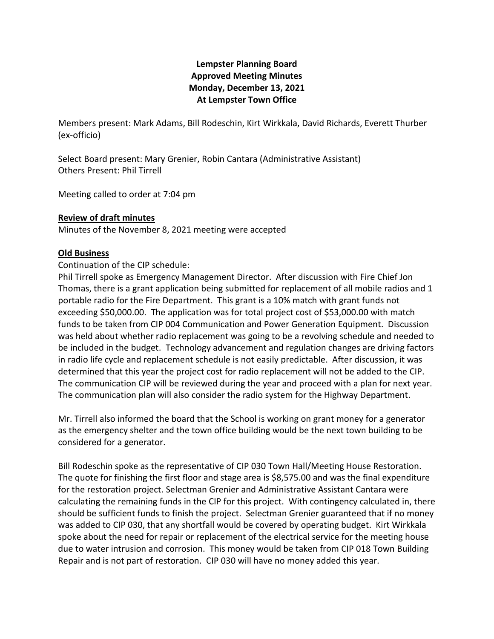# **Lempster Planning Board Approved Meeting Minutes Monday, December 13, 2021 At Lempster Town Office**

Members present: Mark Adams, Bill Rodeschin, Kirt Wirkkala, David Richards, Everett Thurber (ex-officio)

Select Board present: Mary Grenier, Robin Cantara (Administrative Assistant) Others Present: Phil Tirrell

Meeting called to order at 7:04 pm

## **Review of draft minutes**

Minutes of the November 8, 2021 meeting were accepted

#### **Old Business**

#### Continuation of the CIP schedule:

Phil Tirrell spoke as Emergency Management Director. After discussion with Fire Chief Jon Thomas, there is a grant application being submitted for replacement of all mobile radios and 1 portable radio for the Fire Department. This grant is a 10% match with grant funds not exceeding \$50,000.00. The application was for total project cost of \$53,000.00 with match funds to be taken from CIP 004 Communication and Power Generation Equipment. Discussion was held about whether radio replacement was going to be a revolving schedule and needed to be included in the budget. Technology advancement and regulation changes are driving factors in radio life cycle and replacement schedule is not easily predictable. After discussion, it was determined that this year the project cost for radio replacement will not be added to the CIP. The communication CIP will be reviewed during the year and proceed with a plan for next year. The communication plan will also consider the radio system for the Highway Department.

Mr. Tirrell also informed the board that the School is working on grant money for a generator as the emergency shelter and the town office building would be the next town building to be considered for a generator.

Bill Rodeschin spoke as the representative of CIP 030 Town Hall/Meeting House Restoration. The quote for finishing the first floor and stage area is \$8,575.00 and was the final expenditure for the restoration project. Selectman Grenier and Administrative Assistant Cantara were calculating the remaining funds in the CIP for this project. With contingency calculated in, there should be sufficient funds to finish the project. Selectman Grenier guaranteed that if no money was added to CIP 030, that any shortfall would be covered by operating budget. Kirt Wirkkala spoke about the need for repair or replacement of the electrical service for the meeting house due to water intrusion and corrosion. This money would be taken from CIP 018 Town Building Repair and is not part of restoration. CIP 030 will have no money added this year.